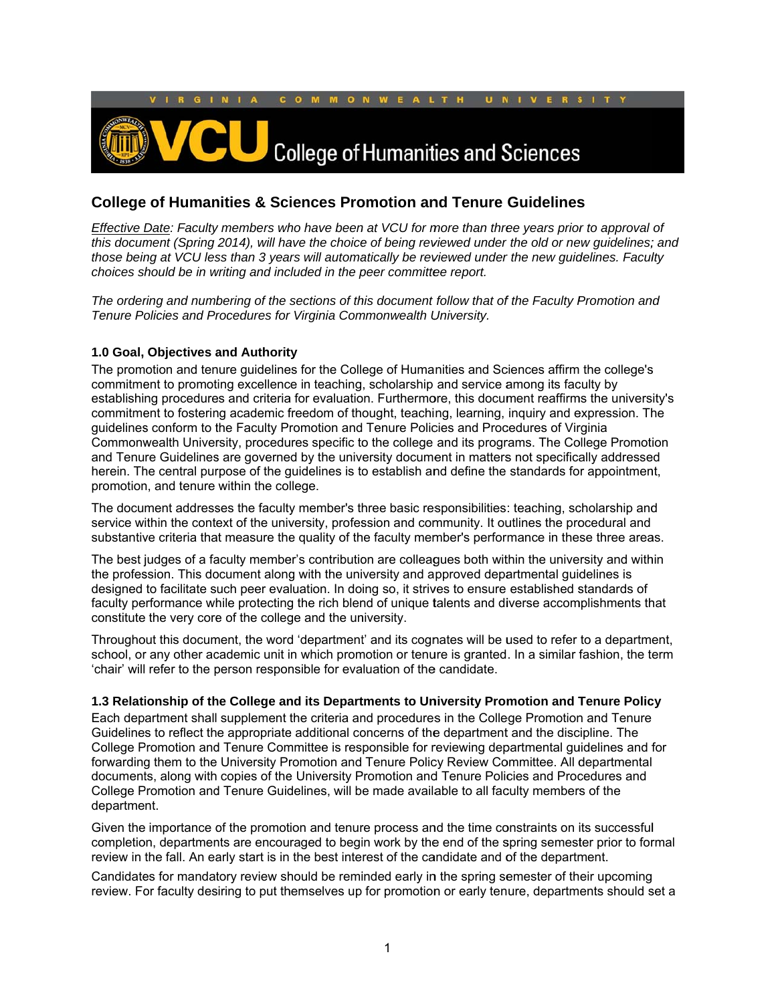

# **College of Humanities & Sciences Promotion and Tenure Guidelines**

*Effective Date: Faculty members who have been at VCU for more than three years prior to approval of this document (Spring 2014), will have the choice of being reviewed under the old or new guidelines; and those being at VCU less than 3 years will automatically be reviewed under the new guidelines. Faculty choices should be in writing and included in the peer committee report.* 

*The ordering and numbering of the sections of this document follow that of the Faculty Promotion and Tenure Policies and Procedures for Virginia Commonwealth University.* 

# 1.0 Goal, Objectives and Authority

The promotion and tenure guidelines for the College of Humanities and Sciences affirm the college's commitment to promoting excellence in teaching, scholarship and service among its faculty by The promotion and tenure guidelines for the College of Humanities and Sciences affirm the college's<br>commitment to promoting excellence in teaching, scholarship and service among its faculty by<br>establishing procedures and c commitment to fostering academic freedom of thought, teaching, learning, inquiry and expression. The guidelines conform to the Faculty Promotion and Tenure Policies and Procedures of Virginia Commonwealth University, procedures specific to the college and its programs. The College Promotion and Tenure Guidelines are governed by the university document in matters not specifically addressed herein. The central purpose of the guidelines is to establish and define the standards for appointment, promotion, and tenure within the college.

The document addresses the faculty member's three basic responsibilities: teaching, scholarship and service within the context of the university, profession and community. It outlines the procedural and The document addresses the faculty member's three basic responsibilities: teaching, scholarship and<br>service within the context of the university, profession and community. It outlines the procedural and<br>substantive criteri

The best judges of a faculty member's contribution are colleagues both within the university and within the profession. This document along with the university and approved departmental guidelines is designed to facilitate such peer evaluation. In doing so, it strives to ensure established standards of faculty performance while protecting the rich blend of unique talents and diverse accomplishments that constitute the very core of the college and the university.

Throughout this document, the word 'department' and its cognates will be used to refer to a department, school, or any other academic unit in which promotion or tenure is granted. In a similar fashion, the term 'chair' will refer to the person responsible for evaluation of the candidate.

#### **1.3 Relationship of the College and its Departments to University Promotion and Tenure Policy**

Each department shall supplement the criteria and procedures in the College Promotion and Tenure Guidelines to reflect the appropriate additional concerns of the department and the discipline. The College Promotion and Tenure Committee is responsible for reviewing departmental guidelines and for forwarding them to the University Promotion and Tenure Policy Review Committee. All departmental documents, along with copies of the University Promotion and Tenure Policies and Procedures and College Promotion and Tenure Guidelines, will be made available to all faculty members of the departme nt.

Given the importance of the promotion and tenure process and the time constraints on its successful Given the importance of the promotion and tenure process and the time constraints on its successful<br>completion, departments are encouraged to begin work by the end of the spring semester prior to formal review in the fall. An early start is in the best interest of the candidate and of the department.

Candidates for mandatory review should be reminded early in the spring semester of their upcoming review. For faculty desiring to put themselves up for promotion or early tenure, departments should set a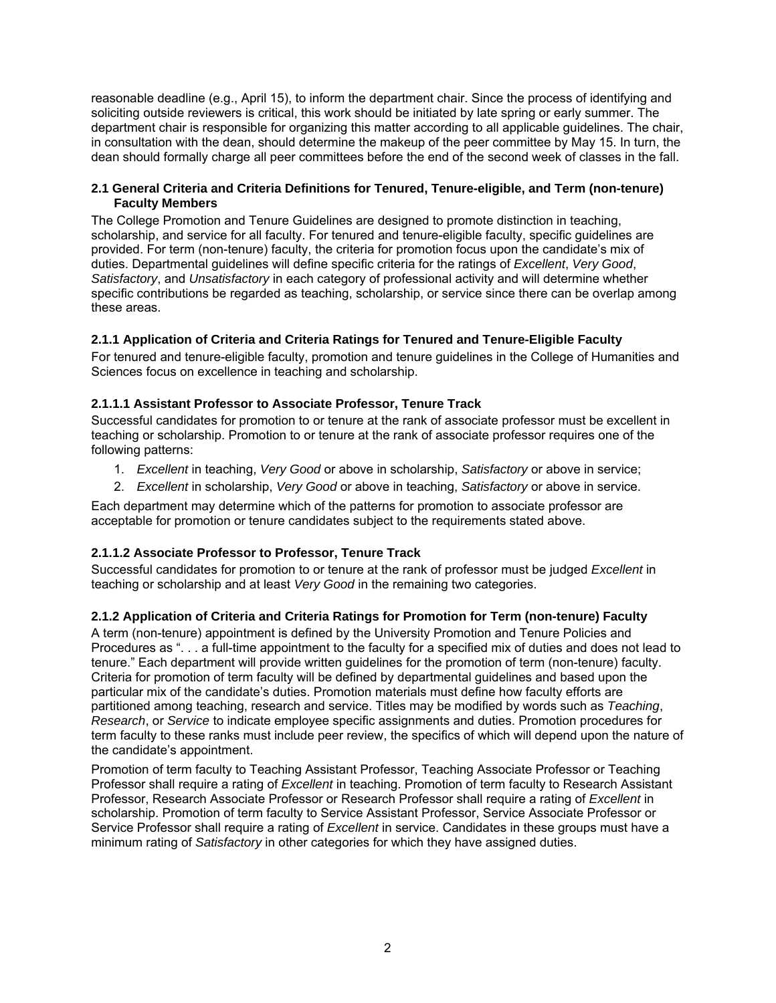reasonable deadline (e.g., April 15), to inform the department chair. Since the process of identifying and soliciting outside reviewers is critical, this work should be initiated by late spring or early summer. The department chair is responsible for organizing this matter according to all applicable guidelines. The chair, in consultation with the dean, should determine the makeup of the peer committee by May 15. In turn, the dean should formally charge all peer committees before the end of the second week of classes in the fall.

# **2.1 General Criteria and Criteria Definitions for Tenured, Tenure-eligible, and Term (non-tenure) Faculty Members**

The College Promotion and Tenure Guidelines are designed to promote distinction in teaching, scholarship, and service for all faculty. For tenured and tenure-eligible faculty, specific guidelines are provided. For term (non-tenure) faculty, the criteria for promotion focus upon the candidate's mix of duties. Departmental guidelines will define specific criteria for the ratings of *Excellent*, *Very Good*, *Satisfactory*, and *Unsatisfactory* in each category of professional activity and will determine whether specific contributions be regarded as teaching, scholarship, or service since there can be overlap among these areas.

# **2.1.1 Application of Criteria and Criteria Ratings for Tenured and Tenure-Eligible Faculty**

For tenured and tenure-eligible faculty, promotion and tenure guidelines in the College of Humanities and Sciences focus on excellence in teaching and scholarship.

# **2.1.1.1 Assistant Professor to Associate Professor, Tenure Track**

Successful candidates for promotion to or tenure at the rank of associate professor must be excellent in teaching or scholarship. Promotion to or tenure at the rank of associate professor requires one of the following patterns:

- 1. *Excellent* in teaching, *Very Good* or above in scholarship, *Satisfactory* or above in service;
- 2. *Excellent* in scholarship, *Very Good* or above in teaching, *Satisfactory* or above in service.

Each department may determine which of the patterns for promotion to associate professor are acceptable for promotion or tenure candidates subject to the requirements stated above.

# **2.1.1.2 Associate Professor to Professor, Tenure Track**

Successful candidates for promotion to or tenure at the rank of professor must be judged *Excellent* in teaching or scholarship and at least *Very Good* in the remaining two categories.

# **2.1.2 Application of Criteria and Criteria Ratings for Promotion for Term (non-tenure) Faculty**

A term (non-tenure) appointment is defined by the University Promotion and Tenure Policies and Procedures as ". . . a full-time appointment to the faculty for a specified mix of duties and does not lead to tenure." Each department will provide written guidelines for the promotion of term (non-tenure) faculty. Criteria for promotion of term faculty will be defined by departmental guidelines and based upon the particular mix of the candidate's duties. Promotion materials must define how faculty efforts are partitioned among teaching, research and service. Titles may be modified by words such as *Teaching*, *Research*, or *Service* to indicate employee specific assignments and duties. Promotion procedures for term faculty to these ranks must include peer review, the specifics of which will depend upon the nature of the candidate's appointment.

Promotion of term faculty to Teaching Assistant Professor, Teaching Associate Professor or Teaching Professor shall require a rating of *Excellent* in teaching. Promotion of term faculty to Research Assistant Professor, Research Associate Professor or Research Professor shall require a rating of *Excellent* in scholarship. Promotion of term faculty to Service Assistant Professor, Service Associate Professor or Service Professor shall require a rating of *Excellent* in service. Candidates in these groups must have a minimum rating of *Satisfactory* in other categories for which they have assigned duties.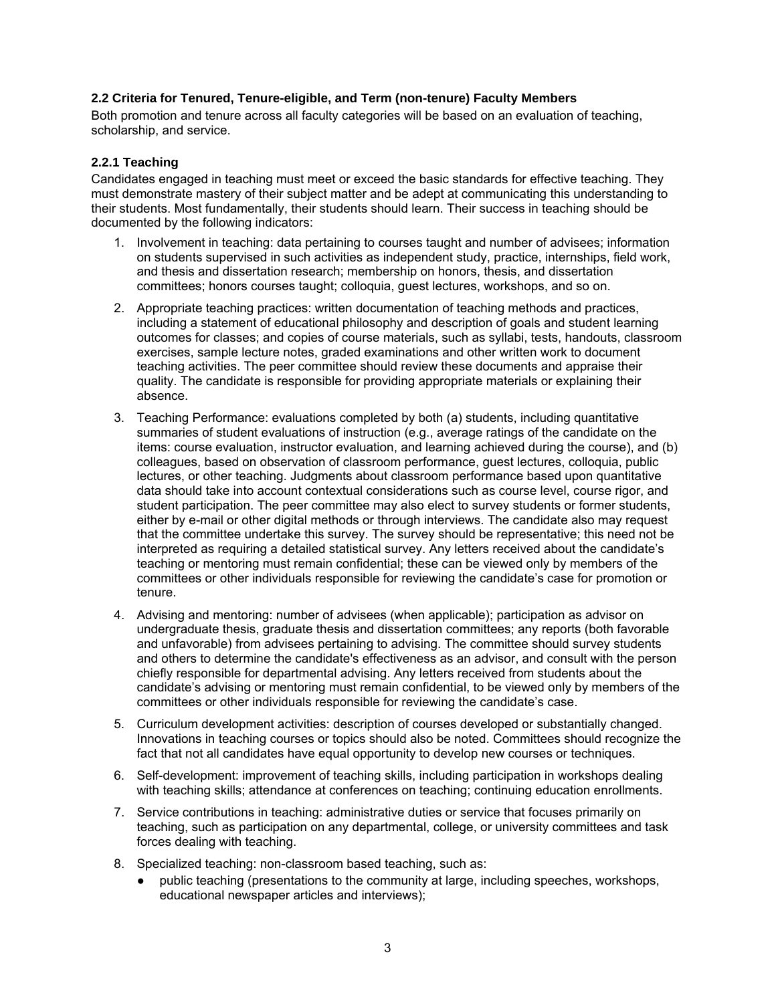# **2.2 Criteria for Tenured, Tenure-eligible, and Term (non-tenure) Faculty Members**

Both promotion and tenure across all faculty categories will be based on an evaluation of teaching, scholarship, and service.

#### **2.2.1 Teaching**

Candidates engaged in teaching must meet or exceed the basic standards for effective teaching. They must demonstrate mastery of their subject matter and be adept at communicating this understanding to their students. Most fundamentally, their students should learn. Their success in teaching should be documented by the following indicators:

- 1. Involvement in teaching: data pertaining to courses taught and number of advisees; information on students supervised in such activities as independent study, practice, internships, field work, and thesis and dissertation research; membership on honors, thesis, and dissertation committees; honors courses taught; colloquia, guest lectures, workshops, and so on.
- 2. Appropriate teaching practices: written documentation of teaching methods and practices, including a statement of educational philosophy and description of goals and student learning outcomes for classes; and copies of course materials, such as syllabi, tests, handouts, classroom exercises, sample lecture notes, graded examinations and other written work to document teaching activities. The peer committee should review these documents and appraise their quality. The candidate is responsible for providing appropriate materials or explaining their absence.
- 3. Teaching Performance: evaluations completed by both (a) students, including quantitative summaries of student evaluations of instruction (e.g., average ratings of the candidate on the items: course evaluation, instructor evaluation, and learning achieved during the course), and (b) colleagues, based on observation of classroom performance, guest lectures, colloquia, public lectures, or other teaching. Judgments about classroom performance based upon quantitative data should take into account contextual considerations such as course level, course rigor, and student participation. The peer committee may also elect to survey students or former students, either by e-mail or other digital methods or through interviews. The candidate also may request that the committee undertake this survey. The survey should be representative; this need not be interpreted as requiring a detailed statistical survey. Any letters received about the candidate's teaching or mentoring must remain confidential; these can be viewed only by members of the committees or other individuals responsible for reviewing the candidate's case for promotion or tenure.
- 4. Advising and mentoring: number of advisees (when applicable); participation as advisor on undergraduate thesis, graduate thesis and dissertation committees; any reports (both favorable and unfavorable) from advisees pertaining to advising. The committee should survey students and others to determine the candidate's effectiveness as an advisor, and consult with the person chiefly responsible for departmental advising. Any letters received from students about the candidate's advising or mentoring must remain confidential, to be viewed only by members of the committees or other individuals responsible for reviewing the candidate's case.
- 5. Curriculum development activities: description of courses developed or substantially changed. Innovations in teaching courses or topics should also be noted. Committees should recognize the fact that not all candidates have equal opportunity to develop new courses or techniques.
- 6. Self-development: improvement of teaching skills, including participation in workshops dealing with teaching skills; attendance at conferences on teaching; continuing education enrollments.
- 7. Service contributions in teaching: administrative duties or service that focuses primarily on teaching, such as participation on any departmental, college, or university committees and task forces dealing with teaching.
- 8. Specialized teaching: non-classroom based teaching, such as:
	- public teaching (presentations to the community at large, including speeches, workshops, educational newspaper articles and interviews);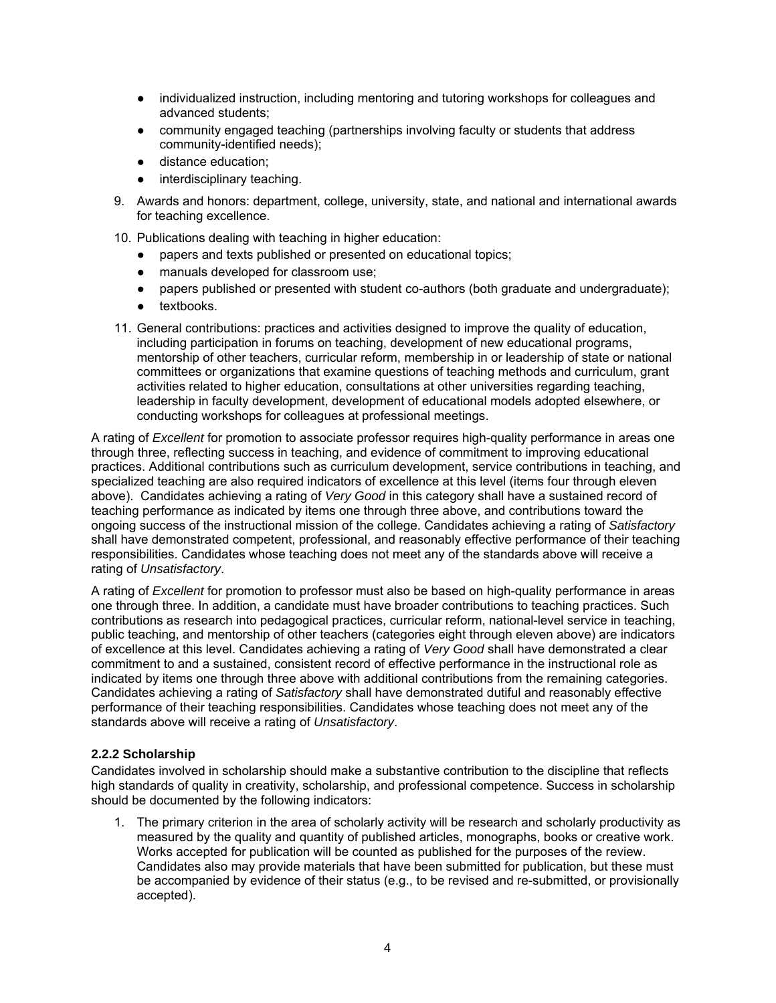- individualized instruction, including mentoring and tutoring workshops for colleagues and advanced students;
- community engaged teaching (partnerships involving faculty or students that address community-identified needs);
- distance education;
- interdisciplinary teaching.
- 9. Awards and honors: department, college, university, state, and national and international awards for teaching excellence.
- 10. Publications dealing with teaching in higher education:
	- papers and texts published or presented on educational topics;
	- manuals developed for classroom use;
	- papers published or presented with student co-authors (both graduate and undergraduate);
	- textbooks.
- 11. General contributions: practices and activities designed to improve the quality of education, including participation in forums on teaching, development of new educational programs, mentorship of other teachers, curricular reform, membership in or leadership of state or national committees or organizations that examine questions of teaching methods and curriculum, grant activities related to higher education, consultations at other universities regarding teaching, leadership in faculty development, development of educational models adopted elsewhere, or conducting workshops for colleagues at professional meetings.

A rating of *Excellent* for promotion to associate professor requires high-quality performance in areas one through three, reflecting success in teaching, and evidence of commitment to improving educational practices. Additional contributions such as curriculum development, service contributions in teaching, and specialized teaching are also required indicators of excellence at this level (items four through eleven above). Candidates achieving a rating of *Very Good* in this category shall have a sustained record of teaching performance as indicated by items one through three above, and contributions toward the ongoing success of the instructional mission of the college. Candidates achieving a rating of *Satisfactory*  shall have demonstrated competent, professional, and reasonably effective performance of their teaching responsibilities. Candidates whose teaching does not meet any of the standards above will receive a rating of *Unsatisfactory*.

A rating of *Excellent* for promotion to professor must also be based on high-quality performance in areas one through three. In addition, a candidate must have broader contributions to teaching practices. Such contributions as research into pedagogical practices, curricular reform, national-level service in teaching, public teaching, and mentorship of other teachers (categories eight through eleven above) are indicators of excellence at this level. Candidates achieving a rating of *Very Good* shall have demonstrated a clear commitment to and a sustained, consistent record of effective performance in the instructional role as indicated by items one through three above with additional contributions from the remaining categories. Candidates achieving a rating of *Satisfactory* shall have demonstrated dutiful and reasonably effective performance of their teaching responsibilities. Candidates whose teaching does not meet any of the standards above will receive a rating of *Unsatisfactory*.

#### **2.2.2 Scholarship**

Candidates involved in scholarship should make a substantive contribution to the discipline that reflects high standards of quality in creativity, scholarship, and professional competence. Success in scholarship should be documented by the following indicators:

1. The primary criterion in the area of scholarly activity will be research and scholarly productivity as measured by the quality and quantity of published articles, monographs, books or creative work. Works accepted for publication will be counted as published for the purposes of the review. Candidates also may provide materials that have been submitted for publication, but these must be accompanied by evidence of their status (e.g., to be revised and re-submitted, or provisionally accepted).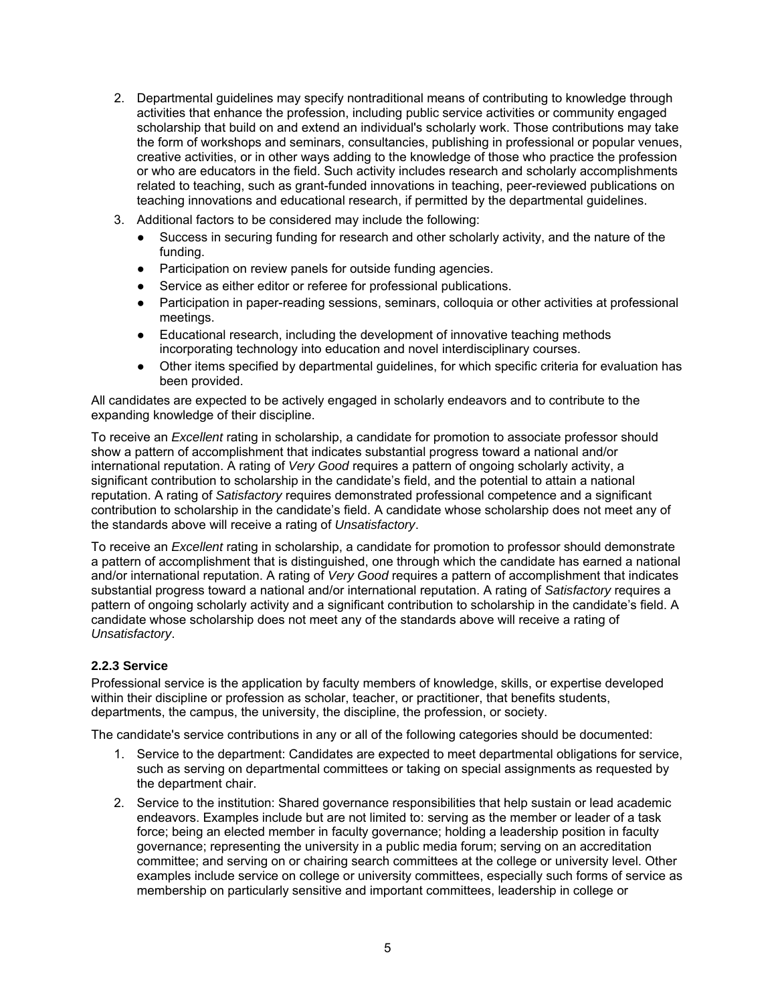- 2. Departmental guidelines may specify nontraditional means of contributing to knowledge through activities that enhance the profession, including public service activities or community engaged scholarship that build on and extend an individual's scholarly work. Those contributions may take the form of workshops and seminars, consultancies, publishing in professional or popular venues, creative activities, or in other ways adding to the knowledge of those who practice the profession or who are educators in the field. Such activity includes research and scholarly accomplishments related to teaching, such as grant-funded innovations in teaching, peer-reviewed publications on teaching innovations and educational research, if permitted by the departmental guidelines.
- 3. Additional factors to be considered may include the following:
	- Success in securing funding for research and other scholarly activity, and the nature of the funding.
	- Participation on review panels for outside funding agencies.
	- Service as either editor or referee for professional publications.
	- Participation in paper-reading sessions, seminars, colloquia or other activities at professional meetings.
	- Educational research, including the development of innovative teaching methods incorporating technology into education and novel interdisciplinary courses.
	- Other items specified by departmental guidelines, for which specific criteria for evaluation has been provided.

All candidates are expected to be actively engaged in scholarly endeavors and to contribute to the expanding knowledge of their discipline.

To receive an *Excellent* rating in scholarship, a candidate for promotion to associate professor should show a pattern of accomplishment that indicates substantial progress toward a national and/or international reputation. A rating of *Very Good* requires a pattern of ongoing scholarly activity, a significant contribution to scholarship in the candidate's field, and the potential to attain a national reputation. A rating of *Satisfactory* requires demonstrated professional competence and a significant contribution to scholarship in the candidate's field. A candidate whose scholarship does not meet any of the standards above will receive a rating of *Unsatisfactory*.

To receive an *Excellent* rating in scholarship, a candidate for promotion to professor should demonstrate a pattern of accomplishment that is distinguished, one through which the candidate has earned a national and/or international reputation. A rating of *Very Good* requires a pattern of accomplishment that indicates substantial progress toward a national and/or international reputation. A rating of *Satisfactory* requires a pattern of ongoing scholarly activity and a significant contribution to scholarship in the candidate's field. A candidate whose scholarship does not meet any of the standards above will receive a rating of *Unsatisfactory*.

# **2.2.3 Service**

Professional service is the application by faculty members of knowledge, skills, or expertise developed within their discipline or profession as scholar, teacher, or practitioner, that benefits students, departments, the campus, the university, the discipline, the profession, or society.

The candidate's service contributions in any or all of the following categories should be documented:

- 1. Service to the department: Candidates are expected to meet departmental obligations for service, such as serving on departmental committees or taking on special assignments as requested by the department chair.
- 2. Service to the institution: Shared governance responsibilities that help sustain or lead academic endeavors. Examples include but are not limited to: serving as the member or leader of a task force; being an elected member in faculty governance; holding a leadership position in faculty governance; representing the university in a public media forum; serving on an accreditation committee; and serving on or chairing search committees at the college or university level. Other examples include service on college or university committees, especially such forms of service as membership on particularly sensitive and important committees, leadership in college or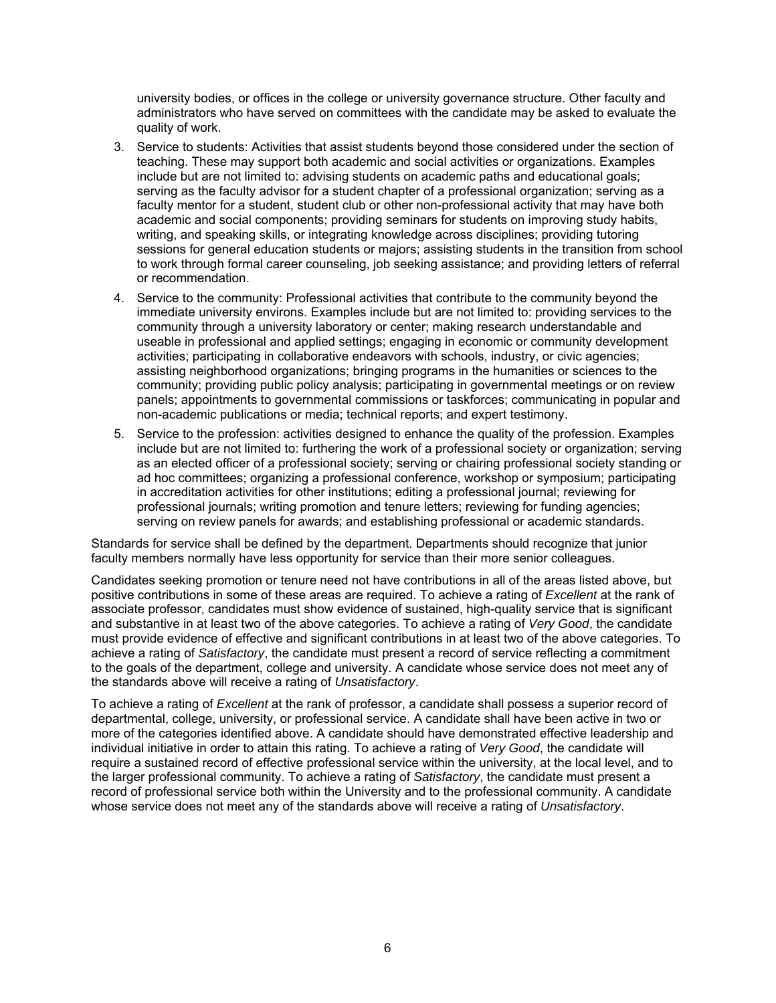university bodies, or offices in the college or university governance structure. Other faculty and administrators who have served on committees with the candidate may be asked to evaluate the quality of work.

- 3. Service to students: Activities that assist students beyond those considered under the section of teaching. These may support both academic and social activities or organizations. Examples include but are not limited to: advising students on academic paths and educational goals; serving as the faculty advisor for a student chapter of a professional organization; serving as a faculty mentor for a student, student club or other non-professional activity that may have both academic and social components; providing seminars for students on improving study habits, writing, and speaking skills, or integrating knowledge across disciplines; providing tutoring sessions for general education students or majors; assisting students in the transition from school to work through formal career counseling, job seeking assistance; and providing letters of referral or recommendation.
- 4. Service to the community: Professional activities that contribute to the community beyond the immediate university environs. Examples include but are not limited to: providing services to the community through a university laboratory or center; making research understandable and useable in professional and applied settings; engaging in economic or community development activities; participating in collaborative endeavors with schools, industry, or civic agencies; assisting neighborhood organizations; bringing programs in the humanities or sciences to the community; providing public policy analysis; participating in governmental meetings or on review panels; appointments to governmental commissions or taskforces; communicating in popular and non-academic publications or media; technical reports; and expert testimony.
- 5. Service to the profession: activities designed to enhance the quality of the profession. Examples include but are not limited to: furthering the work of a professional society or organization; serving as an elected officer of a professional society; serving or chairing professional society standing or ad hoc committees; organizing a professional conference, workshop or symposium; participating in accreditation activities for other institutions; editing a professional journal; reviewing for professional journals; writing promotion and tenure letters; reviewing for funding agencies; serving on review panels for awards; and establishing professional or academic standards.

Standards for service shall be defined by the department. Departments should recognize that junior faculty members normally have less opportunity for service than their more senior colleagues.

Candidates seeking promotion or tenure need not have contributions in all of the areas listed above, but positive contributions in some of these areas are required. To achieve a rating of *Excellent* at the rank of associate professor, candidates must show evidence of sustained, high-quality service that is significant and substantive in at least two of the above categories. To achieve a rating of *Very Good*, the candidate must provide evidence of effective and significant contributions in at least two of the above categories. To achieve a rating of *Satisfactory*, the candidate must present a record of service reflecting a commitment to the goals of the department, college and university. A candidate whose service does not meet any of the standards above will receive a rating of *Unsatisfactory*.

To achieve a rating of *Excellent* at the rank of professor, a candidate shall possess a superior record of departmental, college, university, or professional service. A candidate shall have been active in two or more of the categories identified above. A candidate should have demonstrated effective leadership and individual initiative in order to attain this rating. To achieve a rating of *Very Good*, the candidate will require a sustained record of effective professional service within the university, at the local level, and to the larger professional community. To achieve a rating of *Satisfactory*, the candidate must present a record of professional service both within the University and to the professional community. A candidate whose service does not meet any of the standards above will receive a rating of *Unsatisfactory*.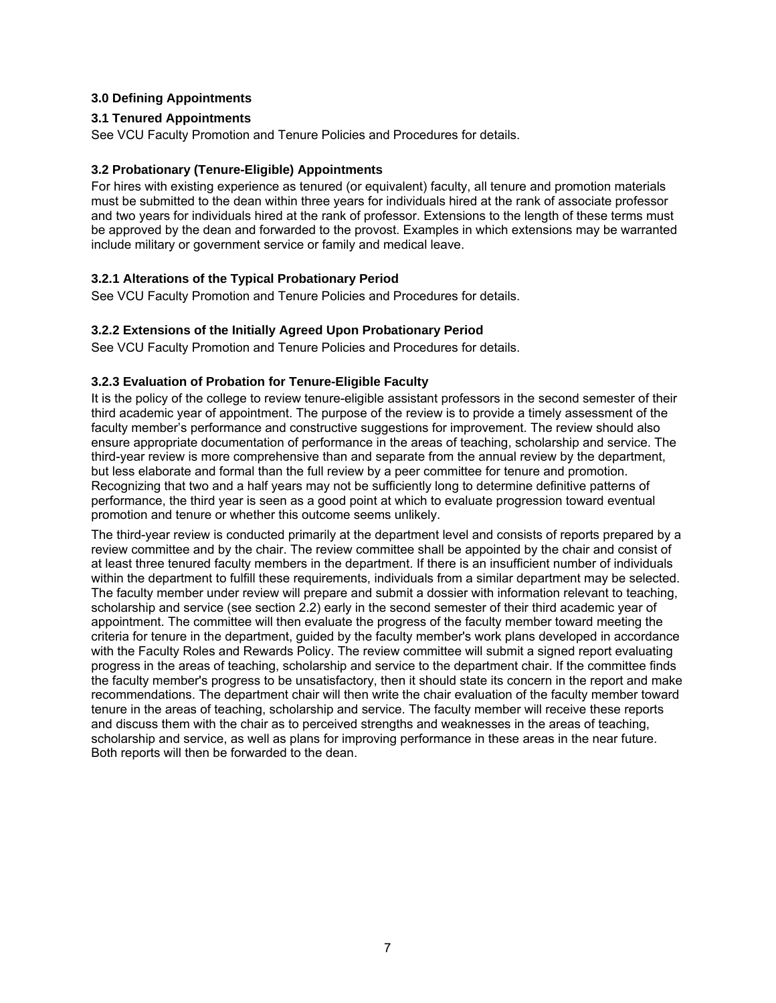# **3.0 Defining Appointments**

# **3.1 Tenured Appointments**

See VCU Faculty Promotion and Tenure Policies and Procedures for details.

### **3.2 Probationary (Tenure-Eligible) Appointments**

For hires with existing experience as tenured (or equivalent) faculty, all tenure and promotion materials must be submitted to the dean within three years for individuals hired at the rank of associate professor and two years for individuals hired at the rank of professor. Extensions to the length of these terms must be approved by the dean and forwarded to the provost. Examples in which extensions may be warranted include military or government service or family and medical leave.

# **3.2.1 Alterations of the Typical Probationary Period**

See VCU Faculty Promotion and Tenure Policies and Procedures for details.

# **3.2.2 Extensions of the Initially Agreed Upon Probationary Period**

See VCU Faculty Promotion and Tenure Policies and Procedures for details.

# **3.2.3 Evaluation of Probation for Tenure-Eligible Faculty**

It is the policy of the college to review tenure-eligible assistant professors in the second semester of their third academic year of appointment. The purpose of the review is to provide a timely assessment of the faculty member's performance and constructive suggestions for improvement. The review should also ensure appropriate documentation of performance in the areas of teaching, scholarship and service. The third-year review is more comprehensive than and separate from the annual review by the department, but less elaborate and formal than the full review by a peer committee for tenure and promotion. Recognizing that two and a half years may not be sufficiently long to determine definitive patterns of performance, the third year is seen as a good point at which to evaluate progression toward eventual promotion and tenure or whether this outcome seems unlikely.

The third-year review is conducted primarily at the department level and consists of reports prepared by a review committee and by the chair. The review committee shall be appointed by the chair and consist of at least three tenured faculty members in the department. If there is an insufficient number of individuals within the department to fulfill these requirements, individuals from a similar department may be selected. The faculty member under review will prepare and submit a dossier with information relevant to teaching, scholarship and service (see section 2.2) early in the second semester of their third academic year of appointment. The committee will then evaluate the progress of the faculty member toward meeting the criteria for tenure in the department, guided by the faculty member's work plans developed in accordance with the Faculty Roles and Rewards Policy. The review committee will submit a signed report evaluating progress in the areas of teaching, scholarship and service to the department chair. If the committee finds the faculty member's progress to be unsatisfactory, then it should state its concern in the report and make recommendations. The department chair will then write the chair evaluation of the faculty member toward tenure in the areas of teaching, scholarship and service. The faculty member will receive these reports and discuss them with the chair as to perceived strengths and weaknesses in the areas of teaching, scholarship and service, as well as plans for improving performance in these areas in the near future. Both reports will then be forwarded to the dean.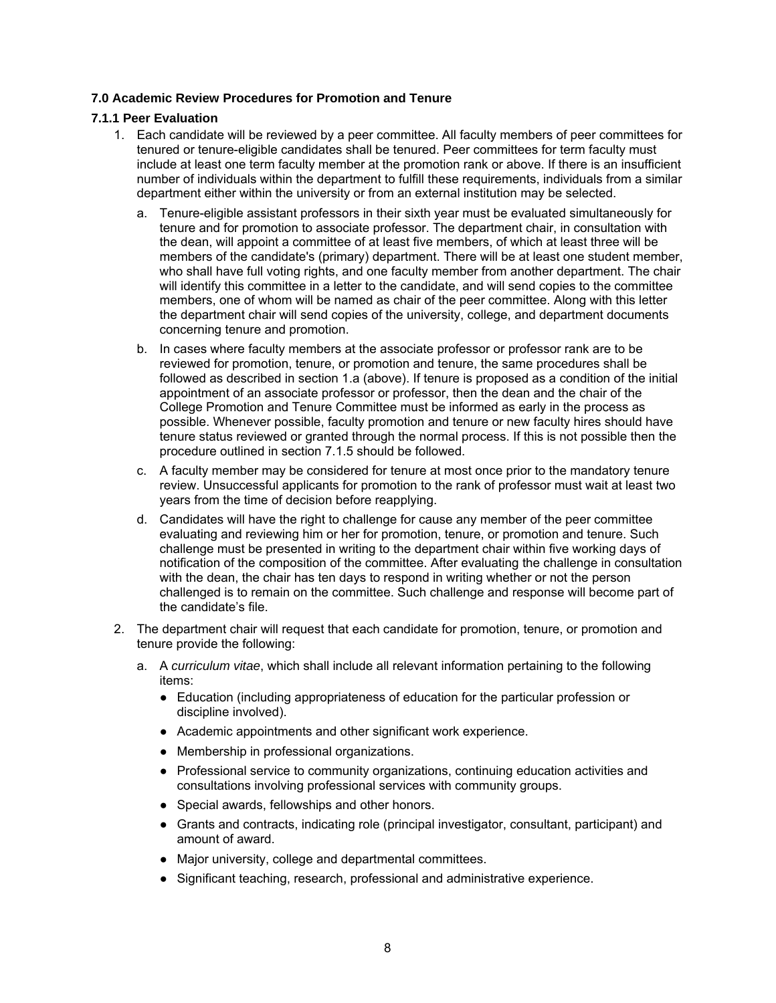# **7.0 Academic Review Procedures for Promotion and Tenure**

### **7.1.1 Peer Evaluation**

- 1. Each candidate will be reviewed by a peer committee. All faculty members of peer committees for tenured or tenure-eligible candidates shall be tenured. Peer committees for term faculty must include at least one term faculty member at the promotion rank or above. If there is an insufficient number of individuals within the department to fulfill these requirements, individuals from a similar department either within the university or from an external institution may be selected.
	- a. Tenure-eligible assistant professors in their sixth year must be evaluated simultaneously for tenure and for promotion to associate professor. The department chair, in consultation with the dean, will appoint a committee of at least five members, of which at least three will be members of the candidate's (primary) department. There will be at least one student member, who shall have full voting rights, and one faculty member from another department. The chair will identify this committee in a letter to the candidate, and will send copies to the committee members, one of whom will be named as chair of the peer committee. Along with this letter the department chair will send copies of the university, college, and department documents concerning tenure and promotion.
	- b. In cases where faculty members at the associate professor or professor rank are to be reviewed for promotion, tenure, or promotion and tenure, the same procedures shall be followed as described in section 1.a (above). If tenure is proposed as a condition of the initial appointment of an associate professor or professor, then the dean and the chair of the College Promotion and Tenure Committee must be informed as early in the process as possible. Whenever possible, faculty promotion and tenure or new faculty hires should have tenure status reviewed or granted through the normal process. If this is not possible then the procedure outlined in section 7.1.5 should be followed.
	- c. A faculty member may be considered for tenure at most once prior to the mandatory tenure review. Unsuccessful applicants for promotion to the rank of professor must wait at least two years from the time of decision before reapplying.
	- d. Candidates will have the right to challenge for cause any member of the peer committee evaluating and reviewing him or her for promotion, tenure, or promotion and tenure. Such challenge must be presented in writing to the department chair within five working days of notification of the composition of the committee. After evaluating the challenge in consultation with the dean, the chair has ten days to respond in writing whether or not the person challenged is to remain on the committee. Such challenge and response will become part of the candidate's file.
- 2. The department chair will request that each candidate for promotion, tenure, or promotion and tenure provide the following:
	- a. A *curriculum vitae*, which shall include all relevant information pertaining to the following items:
		- Education (including appropriateness of education for the particular profession or discipline involved).
		- Academic appointments and other significant work experience.
		- Membership in professional organizations.
		- Professional service to community organizations, continuing education activities and consultations involving professional services with community groups.
		- Special awards, fellowships and other honors.
		- Grants and contracts, indicating role (principal investigator, consultant, participant) and amount of award.
		- Major university, college and departmental committees.
		- Significant teaching, research, professional and administrative experience.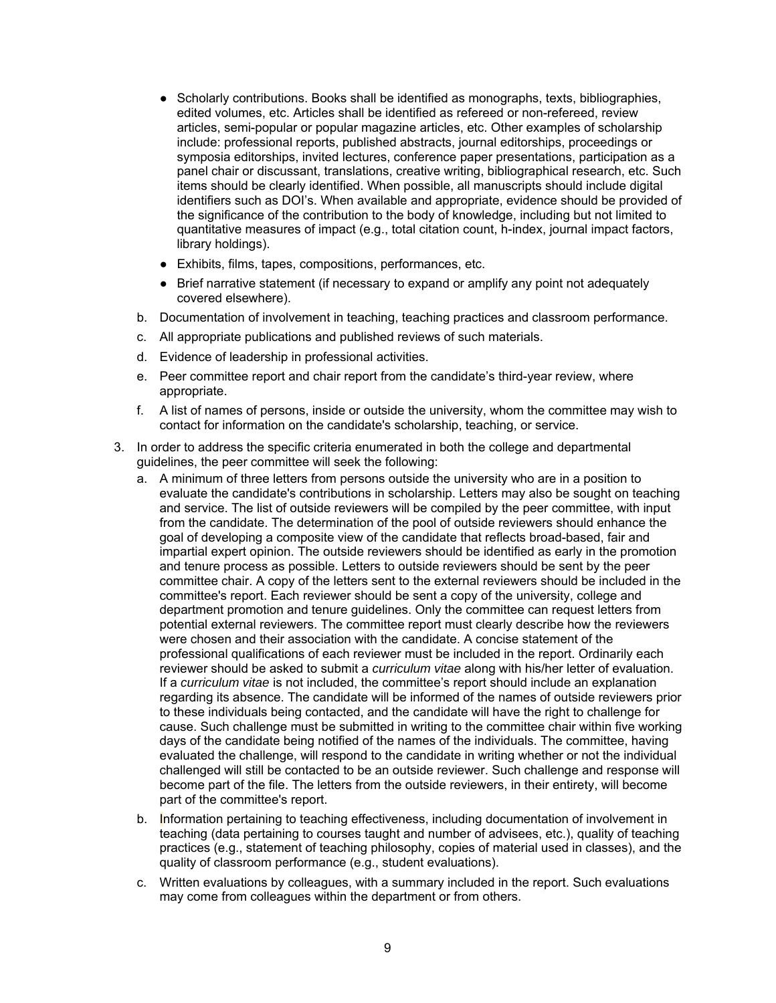- Scholarly contributions. Books shall be identified as monographs, texts, bibliographies, edited volumes, etc. Articles shall be identified as refereed or non-refereed, review articles, semi-popular or popular magazine articles, etc. Other examples of scholarship include: professional reports, published abstracts, journal editorships, proceedings or symposia editorships, invited lectures, conference paper presentations, participation as a panel chair or discussant, translations, creative writing, bibliographical research, etc. Such items should be clearly identified. When possible, all manuscripts should include digital identifiers such as DOI's. When available and appropriate, evidence should be provided of the significance of the contribution to the body of knowledge, including but not limited to quantitative measures of impact (e.g., total citation count, h-index, journal impact factors, library holdings).
- Exhibits, films, tapes, compositions, performances, etc.
- Brief narrative statement (if necessary to expand or amplify any point not adequately covered elsewhere).
- b. Documentation of involvement in teaching, teaching practices and classroom performance.
- c. All appropriate publications and published reviews of such materials.
- d. Evidence of leadership in professional activities.
- e. Peer committee report and chair report from the candidate's third-year review, where appropriate.
- f. A list of names of persons, inside or outside the university, whom the committee may wish to contact for information on the candidate's scholarship, teaching, or service.
- 3. In order to address the specific criteria enumerated in both the college and departmental guidelines, the peer committee will seek the following:
	- a. A minimum of three letters from persons outside the university who are in a position to evaluate the candidate's contributions in scholarship. Letters may also be sought on teaching and service. The list of outside reviewers will be compiled by the peer committee, with input from the candidate. The determination of the pool of outside reviewers should enhance the goal of developing a composite view of the candidate that reflects broad-based, fair and impartial expert opinion. The outside reviewers should be identified as early in the promotion and tenure process as possible. Letters to outside reviewers should be sent by the peer committee chair. A copy of the letters sent to the external reviewers should be included in the committee's report. Each reviewer should be sent a copy of the university, college and department promotion and tenure guidelines. Only the committee can request letters from potential external reviewers. The committee report must clearly describe how the reviewers were chosen and their association with the candidate. A concise statement of the professional qualifications of each reviewer must be included in the report. Ordinarily each reviewer should be asked to submit a *curriculum vitae* along with his/her letter of evaluation. If a *curriculum vitae* is not included, the committee's report should include an explanation regarding its absence. The candidate will be informed of the names of outside reviewers prior to these individuals being contacted, and the candidate will have the right to challenge for cause. Such challenge must be submitted in writing to the committee chair within five working days of the candidate being notified of the names of the individuals. The committee, having evaluated the challenge, will respond to the candidate in writing whether or not the individual challenged will still be contacted to be an outside reviewer. Such challenge and response will become part of the file. The letters from the outside reviewers, in their entirety, will become part of the committee's report.
	- b. Information pertaining to teaching effectiveness, including documentation of involvement in teaching (data pertaining to courses taught and number of advisees, etc.), quality of teaching practices (e.g., statement of teaching philosophy, copies of material used in classes), and the quality of classroom performance (e.g., student evaluations).
	- c. Written evaluations by colleagues, with a summary included in the report. Such evaluations may come from colleagues within the department or from others.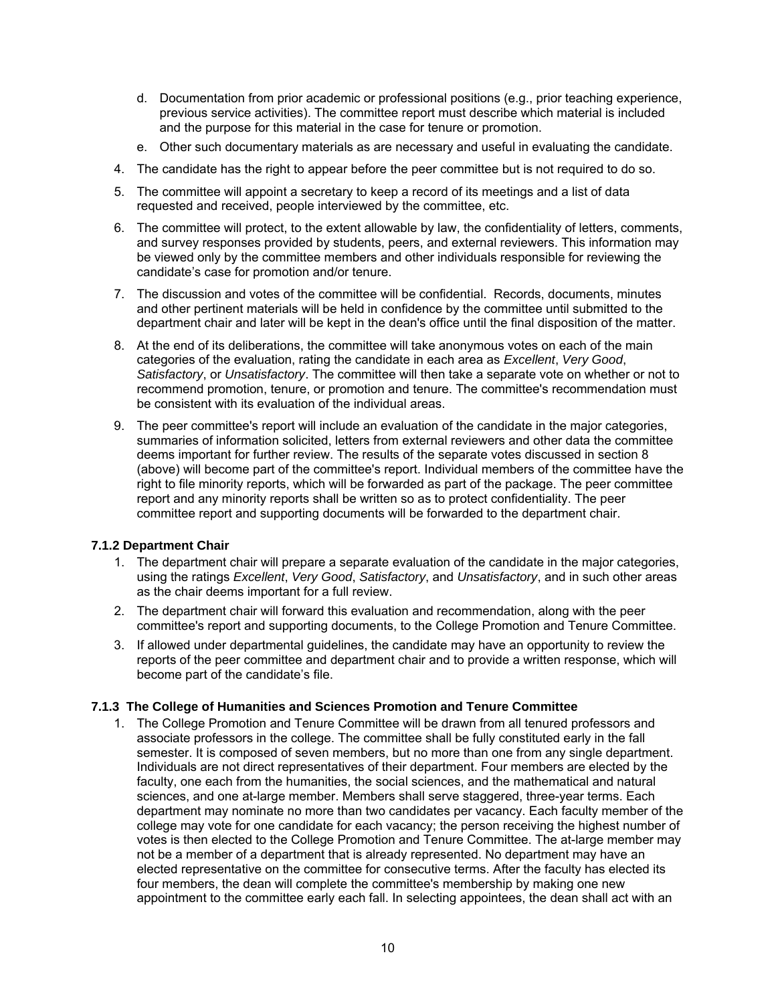- d. Documentation from prior academic or professional positions (e.g., prior teaching experience, previous service activities). The committee report must describe which material is included and the purpose for this material in the case for tenure or promotion.
- e. Other such documentary materials as are necessary and useful in evaluating the candidate.
- 4. The candidate has the right to appear before the peer committee but is not required to do so.
- 5. The committee will appoint a secretary to keep a record of its meetings and a list of data requested and received, people interviewed by the committee, etc.
- 6. The committee will protect, to the extent allowable by law, the confidentiality of letters, comments, and survey responses provided by students, peers, and external reviewers. This information may be viewed only by the committee members and other individuals responsible for reviewing the candidate's case for promotion and/or tenure.
- 7. The discussion and votes of the committee will be confidential. Records, documents, minutes and other pertinent materials will be held in confidence by the committee until submitted to the department chair and later will be kept in the dean's office until the final disposition of the matter.
- 8. At the end of its deliberations, the committee will take anonymous votes on each of the main categories of the evaluation, rating the candidate in each area as *Excellent*, *Very Good*, *Satisfactory*, or *Unsatisfactory*. The committee will then take a separate vote on whether or not to recommend promotion, tenure, or promotion and tenure. The committee's recommendation must be consistent with its evaluation of the individual areas.
- 9. The peer committee's report will include an evaluation of the candidate in the major categories, summaries of information solicited, letters from external reviewers and other data the committee deems important for further review. The results of the separate votes discussed in section 8 (above) will become part of the committee's report. Individual members of the committee have the right to file minority reports, which will be forwarded as part of the package. The peer committee report and any minority reports shall be written so as to protect confidentiality. The peer committee report and supporting documents will be forwarded to the department chair.

# **7.1.2 Department Chair**

- 1. The department chair will prepare a separate evaluation of the candidate in the major categories, using the ratings *Excellent*, *Very Good*, *Satisfactory*, and *Unsatisfactory*, and in such other areas as the chair deems important for a full review.
- 2. The department chair will forward this evaluation and recommendation, along with the peer committee's report and supporting documents, to the College Promotion and Tenure Committee.
- 3. If allowed under departmental guidelines, the candidate may have an opportunity to review the reports of the peer committee and department chair and to provide a written response, which will become part of the candidate's file.

# **7.1.3 The College of Humanities and Sciences Promotion and Tenure Committee**

1. The College Promotion and Tenure Committee will be drawn from all tenured professors and associate professors in the college. The committee shall be fully constituted early in the fall semester. It is composed of seven members, but no more than one from any single department. Individuals are not direct representatives of their department. Four members are elected by the faculty, one each from the humanities, the social sciences, and the mathematical and natural sciences, and one at-large member. Members shall serve staggered, three-year terms. Each department may nominate no more than two candidates per vacancy. Each faculty member of the college may vote for one candidate for each vacancy; the person receiving the highest number of votes is then elected to the College Promotion and Tenure Committee. The at-large member may not be a member of a department that is already represented. No department may have an elected representative on the committee for consecutive terms. After the faculty has elected its four members, the dean will complete the committee's membership by making one new appointment to the committee early each fall. In selecting appointees, the dean shall act with an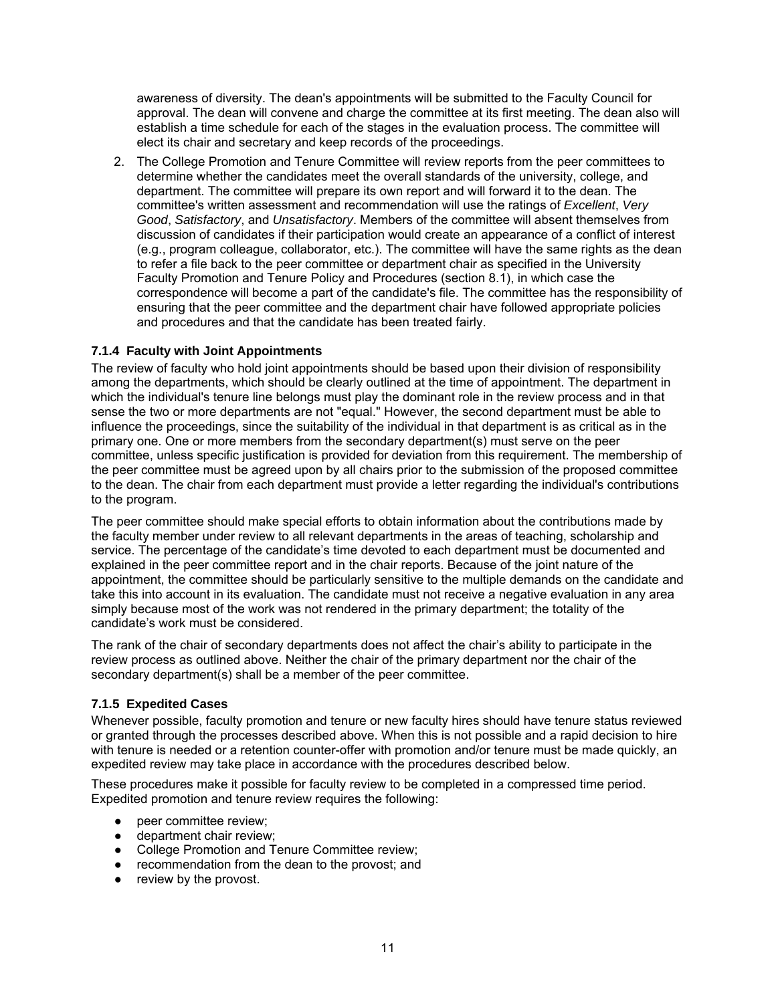awareness of diversity. The dean's appointments will be submitted to the Faculty Council for approval. The dean will convene and charge the committee at its first meeting. The dean also will establish a time schedule for each of the stages in the evaluation process. The committee will elect its chair and secretary and keep records of the proceedings.

2. The College Promotion and Tenure Committee will review reports from the peer committees to determine whether the candidates meet the overall standards of the university, college, and department. The committee will prepare its own report and will forward it to the dean. The committee's written assessment and recommendation will use the ratings of *Excellent*, *Very Good*, *Satisfactory*, and *Unsatisfactory*. Members of the committee will absent themselves from discussion of candidates if their participation would create an appearance of a conflict of interest (e.g., program colleague, collaborator, etc.). The committee will have the same rights as the dean to refer a file back to the peer committee or department chair as specified in the University Faculty Promotion and Tenure Policy and Procedures (section 8.1), in which case the correspondence will become a part of the candidate's file. The committee has the responsibility of ensuring that the peer committee and the department chair have followed appropriate policies and procedures and that the candidate has been treated fairly.

# **7.1.4 Faculty with Joint Appointments**

The review of faculty who hold joint appointments should be based upon their division of responsibility among the departments, which should be clearly outlined at the time of appointment. The department in which the individual's tenure line belongs must play the dominant role in the review process and in that sense the two or more departments are not "equal." However, the second department must be able to influence the proceedings, since the suitability of the individual in that department is as critical as in the primary one. One or more members from the secondary department(s) must serve on the peer committee, unless specific justification is provided for deviation from this requirement. The membership of the peer committee must be agreed upon by all chairs prior to the submission of the proposed committee to the dean. The chair from each department must provide a letter regarding the individual's contributions to the program.

The peer committee should make special efforts to obtain information about the contributions made by the faculty member under review to all relevant departments in the areas of teaching, scholarship and service. The percentage of the candidate's time devoted to each department must be documented and explained in the peer committee report and in the chair reports. Because of the joint nature of the appointment, the committee should be particularly sensitive to the multiple demands on the candidate and take this into account in its evaluation. The candidate must not receive a negative evaluation in any area simply because most of the work was not rendered in the primary department; the totality of the candidate's work must be considered.

The rank of the chair of secondary departments does not affect the chair's ability to participate in the review process as outlined above. Neither the chair of the primary department nor the chair of the secondary department(s) shall be a member of the peer committee.

# **7.1.5 Expedited Cases**

Whenever possible, faculty promotion and tenure or new faculty hires should have tenure status reviewed or granted through the processes described above. When this is not possible and a rapid decision to hire with tenure is needed or a retention counter-offer with promotion and/or tenure must be made quickly, an expedited review may take place in accordance with the procedures described below.

These procedures make it possible for faculty review to be completed in a compressed time period. Expedited promotion and tenure review requires the following:

- peer committee review;
- department chair review;
- College Promotion and Tenure Committee review;
- recommendation from the dean to the provost; and
- review by the provost.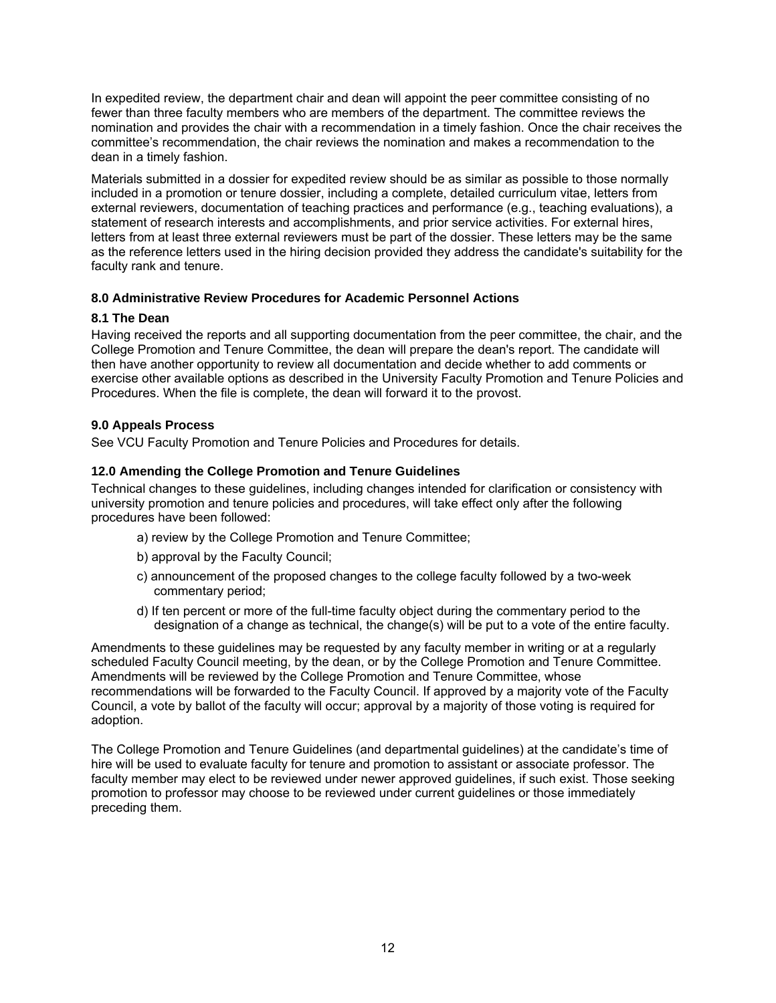In expedited review, the department chair and dean will appoint the peer committee consisting of no fewer than three faculty members who are members of the department. The committee reviews the nomination and provides the chair with a recommendation in a timely fashion. Once the chair receives the committee's recommendation, the chair reviews the nomination and makes a recommendation to the dean in a timely fashion.

Materials submitted in a dossier for expedited review should be as similar as possible to those normally included in a promotion or tenure dossier, including a complete, detailed curriculum vitae, letters from external reviewers, documentation of teaching practices and performance (e.g., teaching evaluations), a statement of research interests and accomplishments, and prior service activities. For external hires, letters from at least three external reviewers must be part of the dossier. These letters may be the same as the reference letters used in the hiring decision provided they address the candidate's suitability for the faculty rank and tenure.

# **8.0 Administrative Review Procedures for Academic Personnel Actions**

# **8.1 The Dean**

Having received the reports and all supporting documentation from the peer committee, the chair, and the College Promotion and Tenure Committee, the dean will prepare the dean's report. The candidate will then have another opportunity to review all documentation and decide whether to add comments or exercise other available options as described in the University Faculty Promotion and Tenure Policies and Procedures. When the file is complete, the dean will forward it to the provost.

# **9.0 Appeals Process**

See VCU Faculty Promotion and Tenure Policies and Procedures for details.

### **12.0 Amending the College Promotion and Tenure Guidelines**

Technical changes to these guidelines, including changes intended for clarification or consistency with university promotion and tenure policies and procedures, will take effect only after the following procedures have been followed:

- a) review by the College Promotion and Tenure Committee;
- b) approval by the Faculty Council;
- c) announcement of the proposed changes to the college faculty followed by a two-week commentary period;
- d) If ten percent or more of the full-time faculty object during the commentary period to the designation of a change as technical, the change(s) will be put to a vote of the entire faculty.

Amendments to these guidelines may be requested by any faculty member in writing or at a regularly scheduled Faculty Council meeting, by the dean, or by the College Promotion and Tenure Committee. Amendments will be reviewed by the College Promotion and Tenure Committee, whose recommendations will be forwarded to the Faculty Council. If approved by a majority vote of the Faculty Council, a vote by ballot of the faculty will occur; approval by a majority of those voting is required for adoption.

The College Promotion and Tenure Guidelines (and departmental guidelines) at the candidate's time of hire will be used to evaluate faculty for tenure and promotion to assistant or associate professor. The faculty member may elect to be reviewed under newer approved guidelines, if such exist. Those seeking promotion to professor may choose to be reviewed under current guidelines or those immediately preceding them.